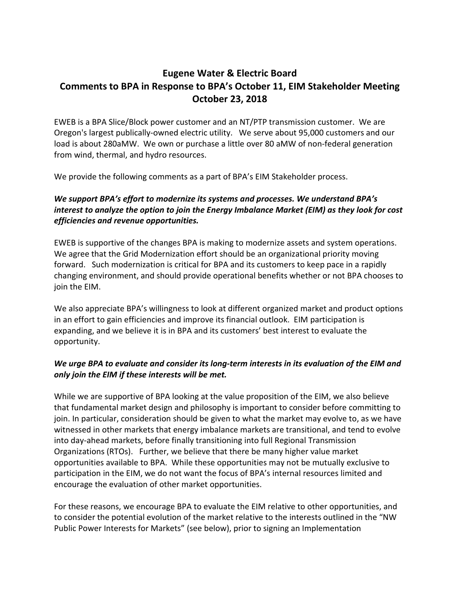# **Eugene Water & Electric Board Comments to BPA in Response to BPA's October 11, EIM Stakeholder Meeting October 23, 2018**

EWEB is a BPA Slice/Block power customer and an NT/PTP transmission customer. We are Oregon's largest publically-owned electric utility. We serve about 95,000 customers and our load is about 280aMW. We own or purchase a little over 80 aMW of non-federal generation from wind, thermal, and hydro resources.

We provide the following comments as a part of BPA's EIM Stakeholder process.

# *We support BPA's effort to modernize its systems and processes. We understand BPA's interest to analyze the option to join the Energy Imbalance Market (EIM) as they look for cost efficiencies and revenue opportunities.*

EWEB is supportive of the changes BPA is making to modernize assets and system operations. We agree that the Grid Modernization effort should be an organizational priority moving forward. Such modernization is critical for BPA and its customers to keep pace in a rapidly changing environment, and should provide operational benefits whether or not BPA chooses to join the EIM.

We also appreciate BPA's willingness to look at different organized market and product options in an effort to gain efficiencies and improve its financial outlook. EIM participation is expanding, and we believe it is in BPA and its customers' best interest to evaluate the opportunity.

## *We urge BPA to evaluate and consider its long-term interests in its evaluation of the EIM and only join the EIM if these interests will be met.*

While we are supportive of BPA looking at the value proposition of the EIM, we also believe that fundamental market design and philosophy is important to consider before committing to join. In particular, consideration should be given to what the market may evolve to, as we have witnessed in other markets that energy imbalance markets are transitional, and tend to evolve into day-ahead markets, before finally transitioning into full Regional Transmission Organizations (RTOs). Further, we believe that there be many higher value market opportunities available to BPA. While these opportunities may not be mutually exclusive to participation in the EIM, we do not want the focus of BPA's internal resources limited and encourage the evaluation of other market opportunities.

For these reasons, we encourage BPA to evaluate the EIM relative to other opportunities, and to consider the potential evolution of the market relative to the interests outlined in the "NW Public Power Interests for Markets" (see below), prior to signing an Implementation